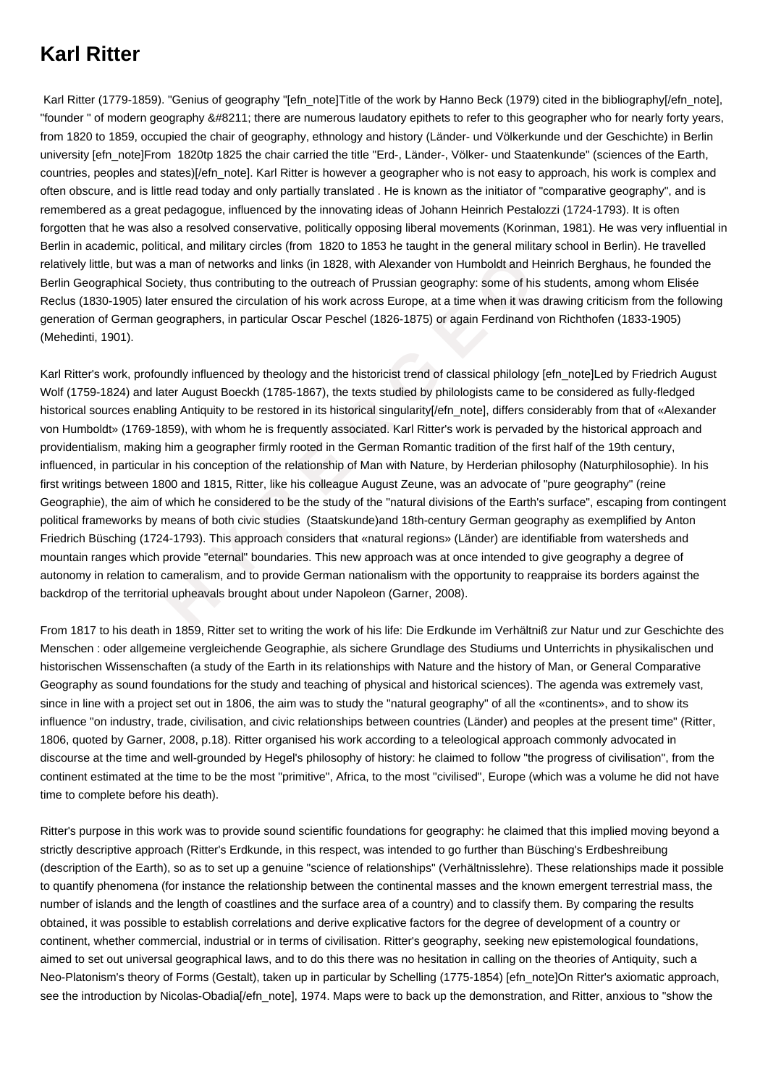## **Karl Ritter**

 Karl Ritter (1779-1859). "Genius of geography "[efn\_note]Title of the work by Hanno Beck (1979) cited in the bibliography[/efn\_note], "founder " of modern geography – there are numerous laudatory epithets to refer to this geographer who for nearly forty years, from 1820 to 1859, occupied the chair of geography, ethnology and history (Länder- und Völkerkunde und der Geschichte) in Berlin university [efn\_note]From 1820tp 1825 the chair carried the title "Erd-, Länder-, Völker- und Staatenkunde" (sciences of the Earth, countries, peoples and states)[/efn\_note]. Karl Ritter is however a geographer who is not easy to approach, his work is complex and often obscure, and is little read today and only partially translated . He is known as the initiator of "comparative geography", and is remembered as a great pedagogue, influenced by the innovating ideas of Johann Heinrich Pestalozzi (1724-1793). It is often forgotten that he was also a resolved conservative, politically opposing liberal movements (Korinman, 1981). He was very influential in Berlin in academic, political, and military circles (from 1820 to 1853 he taught in the general military school in Berlin). He travelled relatively little, but was a man of networks and links (in 1828, with Alexander von Humboldt and Heinrich Berghaus, he founded the Berlin Geographical Society, thus contributing to the outreach of Prussian geography: some of his students, among whom Elisée Reclus (1830-1905) later ensured the circulation of his work across Europe, at a time when it was drawing criticism from the following generation of German geographers, in particular Oscar Peschel (1826-1875) or again Ferdinand von Richthofen (1833-1905) (Mehedinti, 1901).

the was a man of networks and links (in 1828, with Alexander von Humboldt and Heincal Society, thus contributing to the outreach of Prussian geography: some of his studied Heincal Society, thus contributing to the outreach Karl Ritter's work, profoundly influenced by theology and the historicist trend of classical philology [efn\_note]Led by Friedrich August Wolf (1759-1824) and later August Boeckh (1785-1867), the texts studied by philologists came to be considered as fully-fledged historical sources enabling Antiquity to be restored in its historical singularity[/efn\_note], differs considerably from that of «Alexander von Humboldt» (1769-1859), with whom he is frequently associated. Karl Ritter's work is pervaded by the historical approach and providentialism, making him a geographer firmly rooted in the German Romantic tradition of the first half of the 19th century, influenced, in particular in his conception of the relationship of Man with Nature, by Herderian philosophy (Naturphilosophie). In his first writings between 1800 and 1815, Ritter, like his colleague August Zeune, was an advocate of "pure geography" (reine Geographie), the aim of which he considered to be the study of the "natural divisions of the Earth's surface", escaping from contingent political frameworks by means of both civic studies (Staatskunde)and 18th-century German geography as exemplified by Anton Friedrich Büsching (1724-1793). This approach considers that «natural regions» (Länder) are identifiable from watersheds and mountain ranges which provide "eternal" boundaries. This new approach was at once intended to give geography a degree of autonomy in relation to cameralism, and to provide German nationalism with the opportunity to reappraise its borders against the backdrop of the territorial upheavals brought about under Napoleon (Garner, 2008).

From 1817 to his death in 1859, Ritter set to writing the work of his life: Die Erdkunde im Verhältniß zur Natur und zur Geschichte des Menschen : oder allgemeine vergleichende Geographie, als sichere Grundlage des Studiums und Unterrichts in physikalischen und historischen Wissenschaften (a study of the Earth in its relationships with Nature and the history of Man, or General Comparative Geography as sound foundations for the study and teaching of physical and historical sciences). The agenda was extremely vast, since in line with a project set out in 1806, the aim was to study the "natural geography" of all the «continents», and to show its influence "on industry, trade, civilisation, and civic relationships between countries (Länder) and peoples at the present time" (Ritter, 1806, quoted by Garner, 2008, p.18). Ritter organised his work according to a teleological approach commonly advocated in discourse at the time and well-grounded by Hegel's philosophy of history: he claimed to follow "the progress of civilisation", from the continent estimated at the time to be the most "primitive", Africa, to the most "civilised", Europe (which was a volume he did not have time to complete before his death).

Ritter's purpose in this work was to provide sound scientific foundations for geography: he claimed that this implied moving beyond a strictly descriptive approach (Ritter's Erdkunde, in this respect, was intended to go further than Büsching's Erdbeshreibung (description of the Earth), so as to set up a genuine "science of relationships" (Verhältnisslehre). These relationships made it possible to quantify phenomena (for instance the relationship between the continental masses and the known emergent terrestrial mass, the number of islands and the length of coastlines and the surface area of a country) and to classify them. By comparing the results obtained, it was possible to establish correlations and derive explicative factors for the degree of development of a country or continent, whether commercial, industrial or in terms of civilisation. Ritter's geography, seeking new epistemological foundations, aimed to set out universal geographical laws, and to do this there was no hesitation in calling on the theories of Antiquity, such a Neo-Platonism's theory of Forms (Gestalt), taken up in particular by Schelling (1775-1854) [efn\_note]On Ritter's axiomatic approach, see the introduction by Nicolas-Obadia[/efn\_note], 1974. Maps were to back up the demonstration, and Ritter, anxious to "show the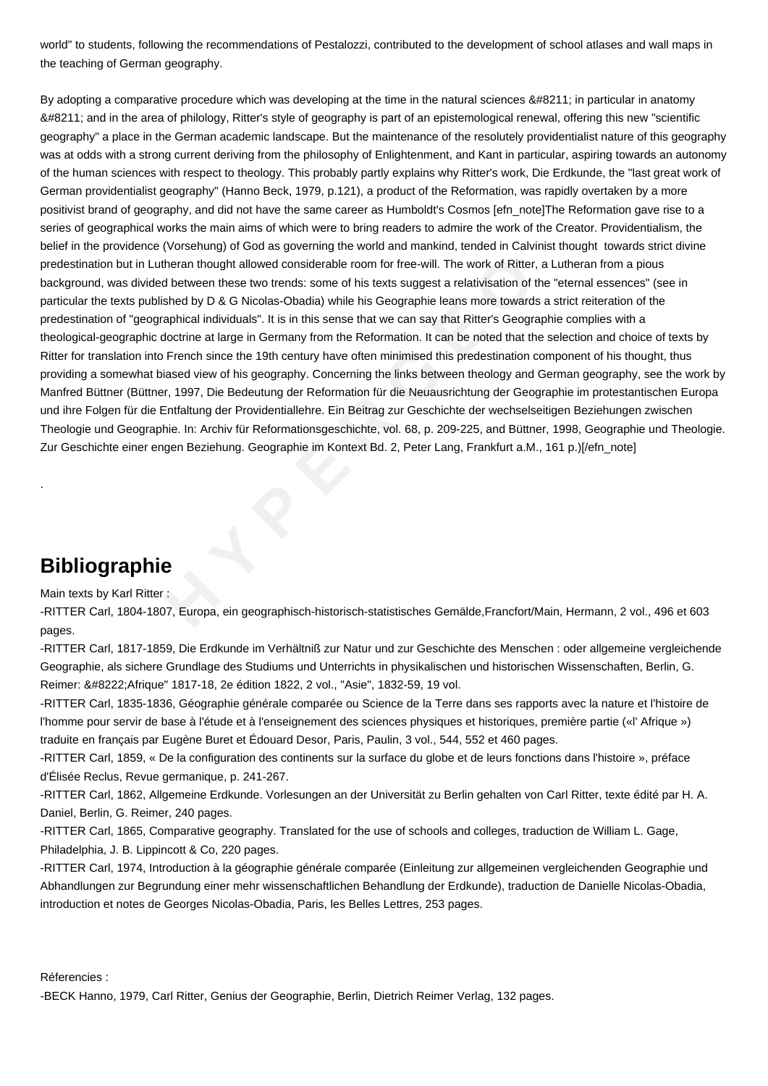world" to students, following the recommendations of Pestalozzi, contributed to the development of school atlases and wall maps in the teaching of German geography.

t in Lutheran thought allowed considerable room for free-will. The work of Ritter, a L<br>divided between these two trends: some of his texts suggest a relativisation of the<br>is published by D & G Nicolas-Obadia) while ins Geo By adopting a comparative procedure which was developing at the time in the natural sciences – in particular in anatomy – and in the area of philology, Ritter's style of geography is part of an epistemological renewal, offering this new "scientific geography" a place in the German academic landscape. But the maintenance of the resolutely providentialist nature of this geography was at odds with a strong current deriving from the philosophy of Enlightenment, and Kant in particular, aspiring towards an autonomy of the human sciences with respect to theology. This probably partly explains why Ritter's work, Die Erdkunde, the "last great work of German providentialist geography" (Hanno Beck, 1979, p.121), a product of the Reformation, was rapidly overtaken by a more positivist brand of geography, and did not have the same career as Humboldt's Cosmos [efn\_note]The Reformation gave rise to a series of geographical works the main aims of which were to bring readers to admire the work of the Creator. Providentialism, the belief in the providence (Vorsehung) of God as governing the world and mankind, tended in Calvinist thought towards strict divine predestination but in Lutheran thought allowed considerable room for free-will. The work of Ritter, a Lutheran from a pious background, was divided between these two trends: some of his texts suggest a relativisation of the "eternal essences" (see in particular the texts published by D & G Nicolas-Obadia) while his Geographie leans more towards a strict reiteration of the predestination of "geographical individuals". It is in this sense that we can say that Ritter's Geographie complies with a theological-geographic doctrine at large in Germany from the Reformation. It can be noted that the selection and choice of texts by Ritter for translation into French since the 19th century have often minimised this predestination component of his thought, thus providing a somewhat biased view of his geography. Concerning the links between theology and German geography, see the work by Manfred Büttner (Büttner, 1997, Die Bedeutung der Reformation für die Neuausrichtung der Geographie im protestantischen Europa und ihre Folgen für die Entfaltung der Providentiallehre. Ein Beitrag zur Geschichte der wechselseitigen Beziehungen zwischen Theologie und Geographie. In: Archiv für Reformationsgeschichte, vol. 68, p. 209-225, and Büttner, 1998, Geographie und Theologie. Zur Geschichte einer engen Beziehung. Geographie im Kontext Bd. 2, Peter Lang, Frankfurt a.M., 161 p.)[/efn\_note]

## **Bibliographie**

.

Main texts by Karl Ritter :

-RITTER Carl, 1804-1807, Europa, ein geographisch-historisch-statistisches Gemälde,Francfort/Main, Hermann, 2 vol., 496 et 603 pages.

-RITTER Carl, 1817-1859, Die Erdkunde im Verhältniß zur Natur und zur Geschichte des Menschen : oder allgemeine vergleichende Geographie, als sichere Grundlage des Studiums und Unterrichts in physikalischen und historischen Wissenschaften, Berlin, G. Reimer: " Afrique" 1817-18, 2e édition 1822, 2 vol., "Asie", 1832-59, 19 vol.

-RITTER Carl, 1835-1836, Géographie générale comparée ou Science de la Terre dans ses rapports avec la nature et l'histoire de l'homme pour servir de base à l'étude et à l'enseignement des sciences physiques et historiques, première partie («l' Afrique ») traduite en français par Eugène Buret et Édouard Desor, Paris, Paulin, 3 vol., 544, 552 et 460 pages.

-RITTER Carl, 1859, « De la configuration des continents sur la surface du globe et de leurs fonctions dans l'histoire », préface d'Élisée Reclus, Revue germanique, p. 241-267.

-RITTER Carl, 1862, Allgemeine Erdkunde. Vorlesungen an der Universität zu Berlin gehalten von Carl Ritter, texte édité par H. A. Daniel, Berlin, G. Reimer, 240 pages.

-RITTER Carl, 1865, Comparative geography. Translated for the use of schools and colleges, traduction de William L. Gage, Philadelphia, J. B. Lippincott & Co, 220 pages.

-RITTER Carl, 1974, Introduction à la géographie générale comparée (Einleitung zur allgemeinen vergleichenden Geographie und Abhandlungen zur Begrundung einer mehr wissenschaftlichen Behandlung der Erdkunde), traduction de Danielle Nicolas-Obadia, introduction et notes de Georges Nicolas-Obadia, Paris, les Belles Lettres, 253 pages.

Réferencies :

-BECK Hanno, 1979, Carl Ritter, Genius der Geographie, Berlin, Dietrich Reimer Verlag, 132 pages.